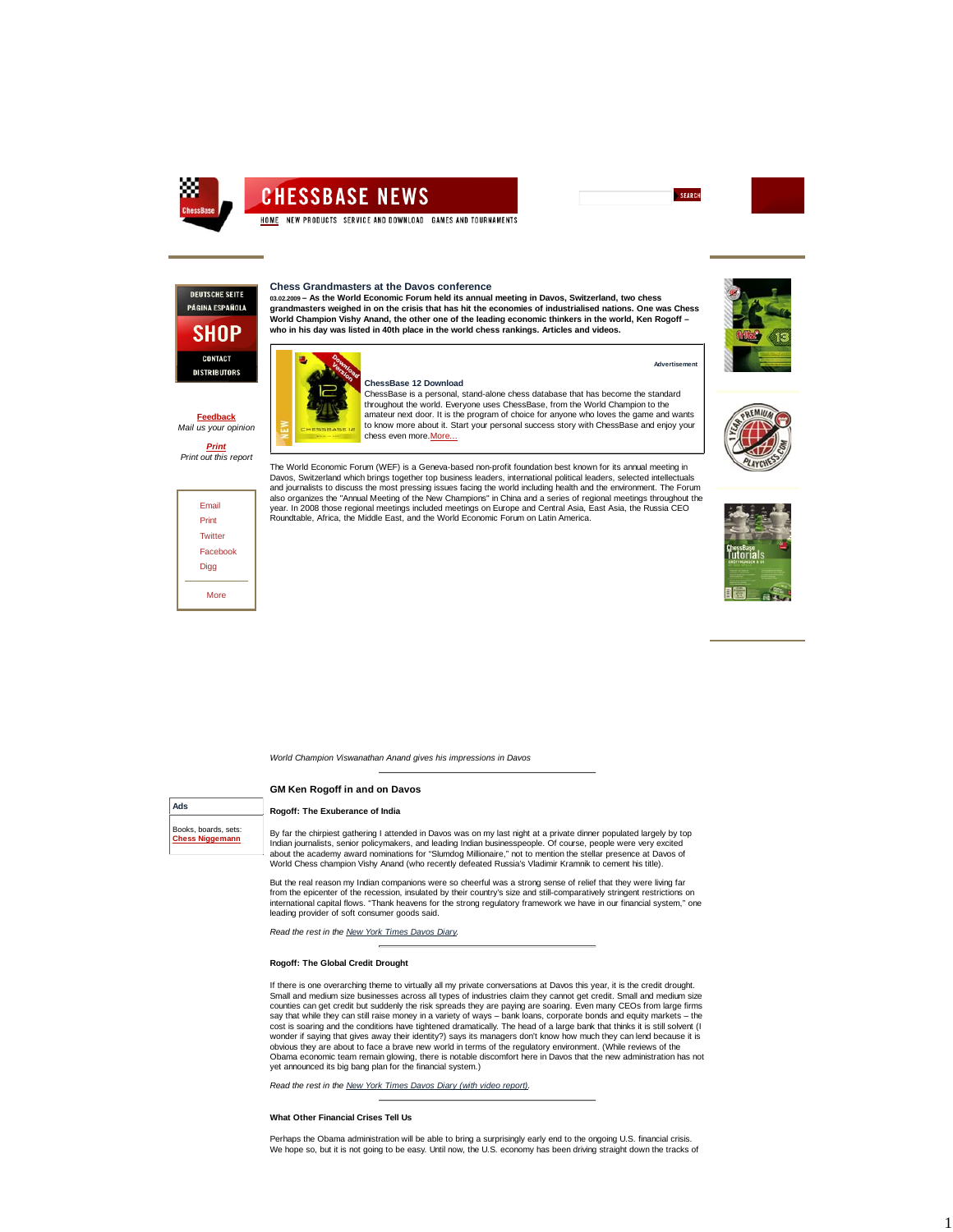

# **CHESSBASE NEWS**

HOME NEW PRODUCTS SERVICE AND DOWNLOAD GAMES AND TOURNAMENTS

## **Chess Grandmasters at the Davos conference**

**ChessBase 12 Download**

chess even more.More...



**Feedback** *Mail us your opinion Print Print out this report*

> Email Print **Twitter Facebook** Digg More

**03.02.2009 – As the World Economic Forum held its annual meeting in Davos, Switzerland, two chess grandmasters weighed in on the crisis that has hit the economies of industrialised nations. One was Chess World Champion Vishy Anand, the other one of the leading economic thinkers in the world, Ken Rogoff – who in his day was listed in 40th place in the world chess rankings. Articles and videos.**



ChessBase is a personal, stand-alone chess database that has become the standard throughout the world. Everyone uses ChessBase, from the World Champion to the amateur next door. It is the program of choice for anyone who loves the game and wants to know more about it. Start your personal success story with ChessBase and enjoy your



**Advertisement**

SEARCH



The World Economic Forum (WEF) is a Geneva-based non-profit foundation best known for its annual meeting in Davos, Switzerland which brings together top business leaders, international political leaders, selected intellectuals and journalists to discuss the most pressing issues facing the world including health and the environment. The Forum also organizes the "Annual Meeting of the New Champions" in China and a series of regional meetings throughout the<br>year. In 2008 those regional meetings included meetings on Europe and Central Asia, East Asia, the Russia C



*World Champion Viswanathan Anand gives his impressions in Davos*

# **GM Ken Rogoff in and on Davos**

# **Rogoff: The Exuberance of India**

Books, boards, sets: **Chess Niggemann**

**Ads**

By far the chirpiest gathering I attended in Davos was on my last night at a private dinner populated largely by top Indian journalists, senior policymakers, and leading Indian businesspeople. Of course, people were very excited<br>about the academy award nominations for "Slumdog Millionaire," not to mention the stellar presence at Davos of

But the real reason my Indian companions were so cheerful was a strong sense of relief that they were living far from the epicenter of the recession, insulated by their country's size and still-comparatively stringent restrictions on international capital flows. "Thank heavens for the strong regulatory framework we have in our financial system," one leading provider of soft consumer goods said.

*Read the rest in the New York Times Davos Diary.*

## **Rogoff: The Global Credit Drought**

If there is one overarching theme to virtually all my private conversations at Davos this year, it is the credit drought. Small and medium size businesses across all types of industries claim they cannot get credit. Small and medium size<br>counties can get credit but suddenly the risk spreads they are paying are soaring. Even many CEOs from lar say that while they can still raise money in a variety of ways – bank loans, corporate bonds and equity markets – the<br>cost is soaring and the conditions have tightened dramatically. The head of a large bank that thinks it wonder if saying that gives away their identity?) says its managers don't know how much they can lend because it is obvious they are about to face a brave new world in terms of the regulatory environment. (While reviews of the Obama economic team remain glowing, there is notable discomfort here in Davos that the new administration has not yet announced its big bang plan for the financial system.)

*Read the rest in the New York Times Davos Diary (with video report).*

#### **What Other Financial Crises Tell Us**

Perhaps the Obama administration will be able to bring a surprisingly early end to the ongoing U.S. financial crisis. We hope so, but it is not going to be easy. Until now, the U.S. economy has been driving straight down the tracks of